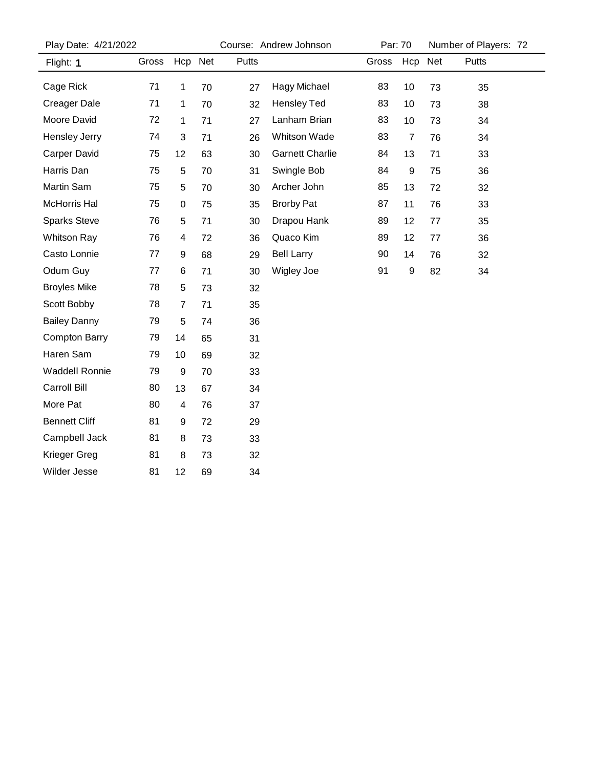| Play Date: 4/21/2022  |       |         |    | Course: Andrew Johnson |                        |       | Par: 70        |    | Number of Players: 72 |  |
|-----------------------|-------|---------|----|------------------------|------------------------|-------|----------------|----|-----------------------|--|
| Flight: 1             | Gross | Hcp Net |    | Putts                  |                        | Gross | Hcp Net        |    | Putts                 |  |
| Cage Rick             | 71    | 1       | 70 | 27                     | Hagy Michael           | 83    | 10             | 73 | 35                    |  |
| <b>Creager Dale</b>   | 71    | 1       | 70 | 32                     | <b>Hensley Ted</b>     | 83    | 10             | 73 | 38                    |  |
| Moore David           | 72    | 1       | 71 | 27                     | Lanham Brian           | 83    | 10             | 73 | 34                    |  |
| Hensley Jerry         | 74    | 3       | 71 | 26                     | Whitson Wade           | 83    | $\overline{7}$ | 76 | 34                    |  |
| <b>Carper David</b>   | 75    | 12      | 63 | 30                     | <b>Garnett Charlie</b> | 84    | 13             | 71 | 33                    |  |
| Harris Dan            | 75    | 5       | 70 | 31                     | Swingle Bob            | 84    | 9              | 75 | 36                    |  |
| Martin Sam            | 75    | 5       | 70 | 30                     | Archer John            | 85    | 13             | 72 | 32                    |  |
| McHorris Hal          | 75    | 0       | 75 | 35                     | <b>Brorby Pat</b>      | 87    | 11             | 76 | 33                    |  |
| <b>Sparks Steve</b>   | 76    | 5       | 71 | 30                     | Drapou Hank            | 89    | 12             | 77 | 35                    |  |
| <b>Whitson Ray</b>    | 76    | 4       | 72 | 36                     | Quaco Kim              | 89    | 12             | 77 | 36                    |  |
| Casto Lonnie          | 77    | 9       | 68 | 29                     | <b>Bell Larry</b>      | 90    | 14             | 76 | 32                    |  |
| Odum Guy              | 77    | 6       | 71 | 30                     | Wigley Joe             | 91    | 9              | 82 | 34                    |  |
| <b>Broyles Mike</b>   | 78    | 5       | 73 | 32                     |                        |       |                |    |                       |  |
| Scott Bobby           | 78    | 7       | 71 | 35                     |                        |       |                |    |                       |  |
| <b>Bailey Danny</b>   | 79    | 5       | 74 | 36                     |                        |       |                |    |                       |  |
| <b>Compton Barry</b>  | 79    | 14      | 65 | 31                     |                        |       |                |    |                       |  |
| Haren Sam             | 79    | 10      | 69 | 32                     |                        |       |                |    |                       |  |
| <b>Waddell Ronnie</b> | 79    | 9       | 70 | 33                     |                        |       |                |    |                       |  |
| Carroll Bill          | 80    | 13      | 67 | 34                     |                        |       |                |    |                       |  |
| More Pat              | 80    | 4       | 76 | 37                     |                        |       |                |    |                       |  |
| <b>Bennett Cliff</b>  | 81    | 9       | 72 | 29                     |                        |       |                |    |                       |  |
| Campbell Jack         | 81    | 8       | 73 | 33                     |                        |       |                |    |                       |  |
| Krieger Greg          | 81    | 8       | 73 | 32                     |                        |       |                |    |                       |  |
| <b>Wilder Jesse</b>   | 81    | 12      | 69 | 34                     |                        |       |                |    |                       |  |